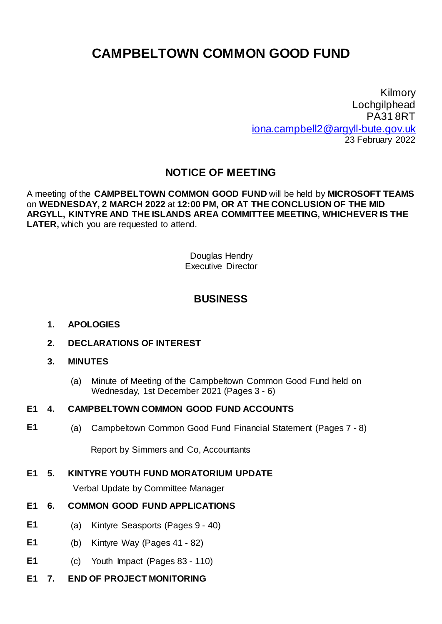# **CAMPBELTOWN COMMON GOOD FUND**

Kilmory Lochgilphead PA31 8RT [iona.campbell2@argyll-bute.gov.uk](mailto:iona.campbell2@argyll-bute.gov.uk) 23 February 2022

# **NOTICE OF MEETING**

A meeting of the **CAMPBELTOWN COMMON GOOD FUND** will be held by **MICROSOFT TEAMS** on **WEDNESDAY, 2 MARCH 2022** at **12:00 PM, OR AT THE CONCLUSION OF THE MID ARGYLL, KINTYRE AND THE ISLANDS AREA COMMITTEE MEETING, WHICHEVER IS THE LATER,** which you are requested to attend.

> Douglas Hendry Executive Director

# **BUSINESS**

#### **1. APOLOGIES**

**2. DECLARATIONS OF INTEREST**

#### **3. MINUTES**

(a) Minute of Meeting of the Campbeltown Common Good Fund held on Wednesday, 1st December 2021 (Pages 3 - 6)

#### **E1 4. CAMPBELTOWN COMMON GOOD FUND ACCOUNTS**

**E1** (a) Campbeltown Common Good Fund Financial Statement (Pages 7 - 8)

Report by Simmers and Co, Accountants

## **E1 5. KINTYRE YOUTH FUND MORATORIUM UPDATE**

Verbal Update by Committee Manager

## **E1 6. COMMON GOOD FUND APPLICATIONS**

- **E1** (a) Kintyre Seasports (Pages 9 40)
- **E1** (b) Kintyre Way (Pages 41 82)
- **E1** (c) Youth Impact (Pages 83 110)
- **E1 7. END OF PROJECT MONITORING**